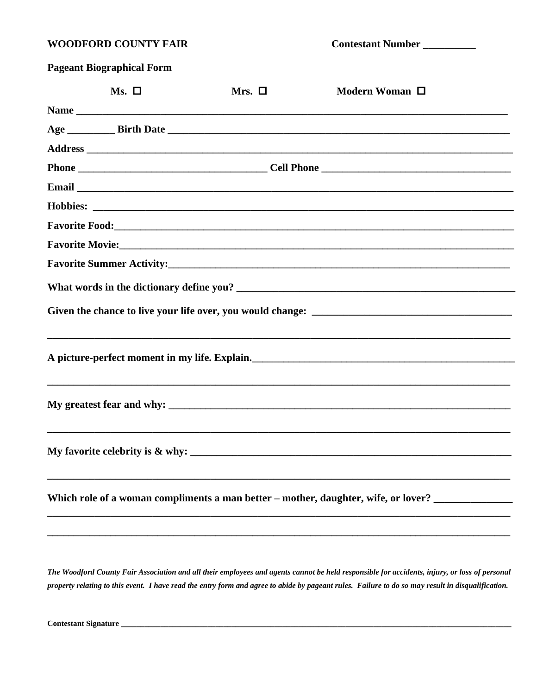### **WOODFORD COUNTY FAIR**

Contestant Number

| <b>Pageant Biographical Form</b> |  |  |
|----------------------------------|--|--|
|                                  |  |  |

| $Ms. \Box$ | Mrs. $\square$ | Modern Woman □                                                                                      |  |
|------------|----------------|-----------------------------------------------------------------------------------------------------|--|
|            |                |                                                                                                     |  |
|            |                |                                                                                                     |  |
|            |                |                                                                                                     |  |
|            |                |                                                                                                     |  |
|            |                |                                                                                                     |  |
|            |                |                                                                                                     |  |
|            |                |                                                                                                     |  |
|            |                |                                                                                                     |  |
|            |                |                                                                                                     |  |
|            |                |                                                                                                     |  |
|            |                |                                                                                                     |  |
|            |                |                                                                                                     |  |
|            |                |                                                                                                     |  |
|            |                | My favorite celebrity is $\&$ why:                                                                  |  |
|            |                | Which role of a woman compliments a man better – mother, daughter, wife, or lover? ________________ |  |
|            |                |                                                                                                     |  |

The Woodford County Fair Association and all their employees and agents cannot be held responsible for accidents, injury, or loss of personal property relating to this event. I have read the entry form and agree to abide by pageant rules. Failure to do so may result in disqualification.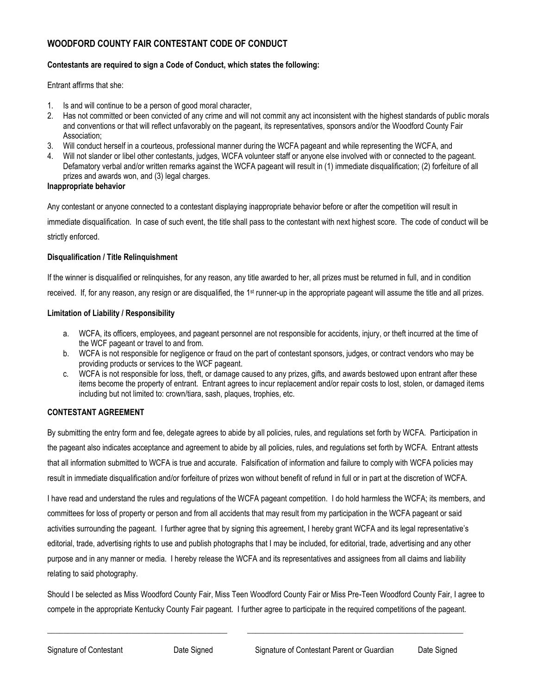### **WOODFORD COUNTY FAIR CONTESTANT CODE OF CONDUCT**

#### **Contestants are required to sign a Code of Conduct, which states the following:**

Entrant affirms that she:

- 1. Is and will continue to be a person of good moral character,
- 2. Has not committed or been convicted of any crime and will not commit any act inconsistent with the highest standards of public morals and conventions or that will reflect unfavorably on the pageant, its representatives, sponsors and/or the Woodford County Fair Association;
- 3. Will conduct herself in a courteous, professional manner during the WCFA pageant and while representing the WCFA, and
- 4. Will not slander or libel other contestants, judges, WCFA volunteer staff or anyone else involved with or connected to the pageant. Defamatory verbal and/or written remarks against the WCFA pageant will result in (1) immediate disqualification; (2) forfeiture of all prizes and awards won, and (3) legal charges.

#### **Inappropriate behavior**

Any contestant or anyone connected to a contestant displaying inappropriate behavior before or after the competition will result in

immediate disqualification. In case of such event, the title shall pass to the contestant with next highest score. The code of conduct will be strictly enforced.

#### **Disqualification / Title Relinquishment**

If the winner is disqualified or relinquishes, for any reason, any title awarded to her, all prizes must be returned in full, and in condition received. If, for any reason, any resign or are disqualified, the 1<sup>st</sup> runner-up in the appropriate pageant will assume the title and all prizes.

#### **Limitation of Liability / Responsibility**

- a. WCFA, its officers, employees, and pageant personnel are not responsible for accidents, injury, or theft incurred at the time of the WCF pageant or travel to and from.
- b. WCFA is not responsible for negligence or fraud on the part of contestant sponsors, judges, or contract vendors who may be providing products or services to the WCF pageant.
- c. WCFA is not responsible for loss, theft, or damage caused to any prizes, gifts, and awards bestowed upon entrant after these items become the property of entrant. Entrant agrees to incur replacement and/or repair costs to lost, stolen, or damaged items including but not limited to: crown/tiara, sash, plaques, trophies, etc.

#### **CONTESTANT AGREEMENT**

By submitting the entry form and fee, delegate agrees to abide by all policies, rules, and regulations set forth by WCFA. Participation in the pageant also indicates acceptance and agreement to abide by all policies, rules, and regulations set forth by WCFA. Entrant attests that all information submitted to WCFA is true and accurate. Falsification of information and failure to comply with WCFA policies may result in immediate disqualification and/or forfeiture of prizes won without benefit of refund in full or in part at the discretion of WCFA.

I have read and understand the rules and regulations of the WCFA pageant competition. I do hold harmless the WCFA; its members, and committees for loss of property or person and from all accidents that may result from my participation in the WCFA pageant or said activities surrounding the pageant. I further agree that by signing this agreement, I hereby grant WCFA and its legal representative's editorial, trade, advertising rights to use and publish photographs that I may be included, for editorial, trade, advertising and any other purpose and in any manner or media. I hereby release the WCFA and its representatives and assignees from all claims and liability relating to said photography.

Should I be selected as Miss Woodford County Fair, Miss Teen Woodford County Fair or Miss Pre-Teen Woodford County Fair, I agree to compete in the appropriate Kentucky County Fair pageant. I further agree to participate in the required competitions of the pageant.

\_\_\_\_\_\_\_\_\_\_\_\_\_\_\_\_\_\_\_\_\_\_\_\_\_\_\_\_\_\_\_\_\_\_\_\_\_\_\_\_\_\_\_\_\_ \_\_\_\_\_\_\_\_\_\_\_\_\_\_\_\_\_\_\_\_\_\_\_\_\_\_\_\_\_\_\_\_\_\_\_\_\_\_\_\_\_\_\_\_\_\_\_\_\_\_\_\_\_\_